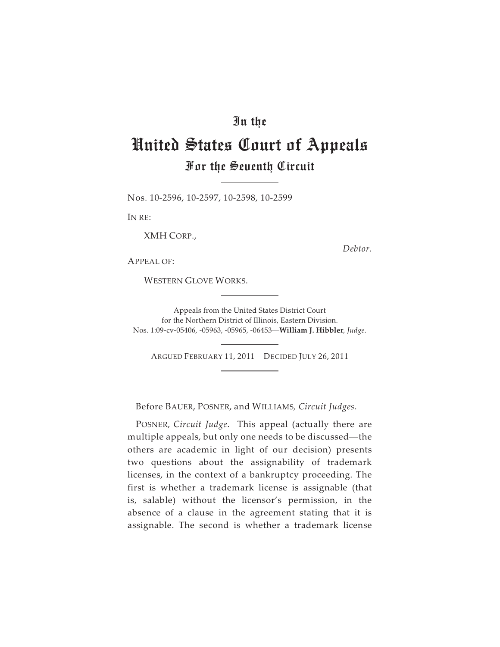## In the

## United States Court of Appeals For the Seventh Circuit

Nos. 10-2596, 10-2597, 10-2598, 10-2599

IN RE:

XMH CORP.,

*Debtor*.

APPEAL OF:

WESTERN GLOVE WORKS.

Appeals from the United States District Court for the Northern District of Illinois, Eastern Division. Appeals from the United States District Court<br>for the Northern District of Illinois, Eastern Division.<br>Nos. 1:09-cv-05406, -05963, -05965, -06453—**William J. Hibbler**, *Judge*. Appeals from the United States District Court<br>for the Northern District of Illinois, Eastern Division.<br>1:09-cv-05406, -05963, -05965, -06453—**William J. Hibbler**, J<br>ARGUED FEBRUARY 11, 2011—DECIDED JULY 26, 2011

Before BAUER, POSNER, and WILLIAMS*, Circuit Judges*.

POSNER, *Circuit Judge*. This appeal (actually there are multiple appeals, but only one needs to be discussed—the others are academic in light of our decision) presents two questions about the assignability of trademark licenses, in the context of a bankruptcy proceeding. The first is whether a trademark license is assignable (that is, salable) without the licensor's permission, in the absence of a clause in the agreement stating that it is assignable. The second is whether a trademark license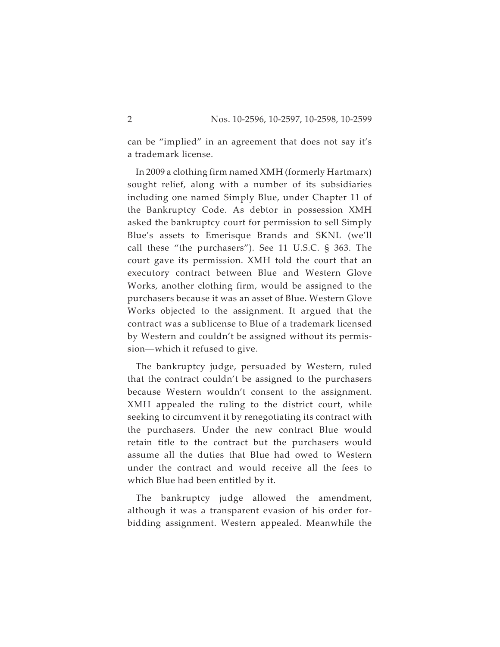can be "implied" in an agreement that does not say it's a trademark license.

In 2009 a clothing firm named XMH (formerly Hartmarx) sought relief, along with a number of its subsidiaries including one named Simply Blue, under Chapter 11 of the Bankruptcy Code. As debtor in possession XMH asked the bankruptcy court for permission to sell Simply Blue's assets to Emerisque Brands and SKNL (we'll call these "the purchasers"). See 11 U.S.C. § 363. The court gave its permission. XMH told the court that an executory contract between Blue and Western Glove Works, another clothing firm, would be assigned to the purchasers because it was an asset of Blue. Western Glove Works objected to the assignment. It argued that the contract was a sublicense to Blue of a trademark licensed by Western and couldn't be assigned without its permispurchasers because it was an as<br>Works objected to the assigr<br>contract was a sublicense to Bl<br>by Western and couldn't be as<br>sion—which it refused to give.

The bankruptcy judge, persuaded by Western, ruled that the contract couldn't be assigned to the purchasers because Western wouldn't consent to the assignment. XMH appealed the ruling to the district court, while seeking to circumvent it by renegotiating its contract with the purchasers. Under the new contract Blue would retain title to the contract but the purchasers would assume all the duties that Blue had owed to Western under the contract and would receive all the fees to which Blue had been entitled by it.

The bankruptcy judge allowed the amendment, although it was a transparent evasion of his order forbidding assignment. Western appealed. Meanwhile the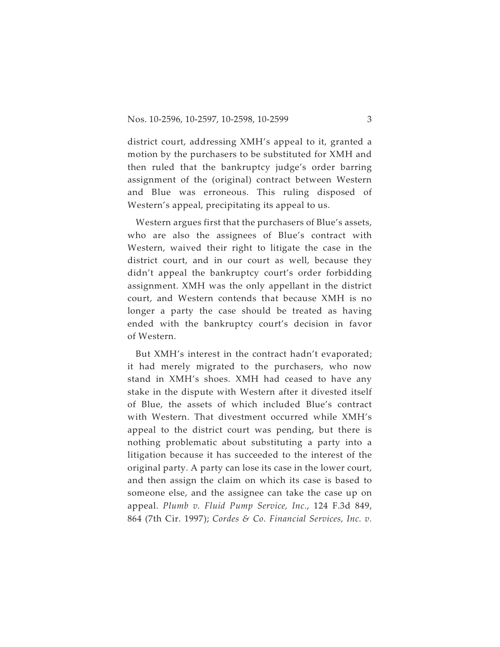district court, addressing XMH's appeal to it, granted a motion by the purchasers to be substituted for XMH and then ruled that the bankruptcy judge's order barring assignment of the (original) contract between Western and Blue was erroneous. This ruling disposed of Western's appeal, precipitating its appeal to us.

Western argues first that the purchasers of Blue's assets, who are also the assignees of Blue's contract with Western, waived their right to litigate the case in the district court, and in our court as well, because they didn't appeal the bankruptcy court's order forbidding assignment. XMH was the only appellant in the district court, and Western contends that because XMH is no longer a party the case should be treated as having ended with the bankruptcy court's decision in favor of Western.

But XMH's interest in the contract hadn't evaporated; it had merely migrated to the purchasers, who now stand in XMH's shoes. XMH had ceased to have any stake in the dispute with Western after it divested itself of Blue, the assets of which included Blue's contract with Western. That divestment occurred while XMH's appeal to the district court was pending, but there is nothing problematic about substituting a party into a litigation because it has succeeded to the interest of the original party. A party can lose its case in the lower court, and then assign the claim on which its case is based to someone else, and the assignee can take the case up on appeal. *Plumb v. Fluid Pump Service, Inc.*, 124 F.3d 849, 864 (7th Cir. 1997); *Cordes & Co. Financial Services, Inc. v.*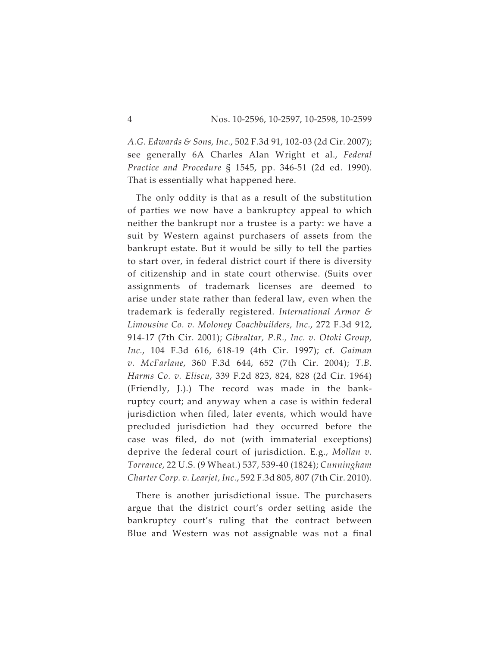*A.G. Edwards & Sons, Inc.*, 502 F.3d 91, 102-03 (2d Cir. 2007); see generally 6A Charles Alan Wright et al., *Federal Practice and Procedure* § 1545, pp. 346-51 (2d ed. 1990). That is essentially what happened here.

The only oddity is that as a result of the substitution of parties we now have a bankruptcy appeal to which neither the bankrupt nor a trustee is a party: we have a suit by Western against purchasers of assets from the bankrupt estate. But it would be silly to tell the parties to start over, in federal district court if there is diversity of citizenship and in state court otherwise. (Suits over assignments of trademark licenses are deemed to arise under state rather than federal law, even when the trademark is federally registered. *International Armor & Limousine Co. v. Moloney Coachbuilders, Inc.*, 272 F.3d 912, 914-17 (7th Cir. 2001); *Gibraltar, P.R., Inc. v. Otoki Group, Inc.*, 104 F.3d 616, 618-19 (4th Cir. 1997); cf. *Gaiman v. McFarlane*, 360 F.3d 644, 652 (7th Cir. 2004); *T.B. Harms Co. v. Eliscu*, 339 F.2d 823, 824, 828 (2d Cir. 1964) (Friendly, J.).) The record was made in the bankruptcy court; and anyway when a case is within federal jurisdiction when filed, later events, which would have precluded jurisdiction had they occurred before the case was filed, do not (with immaterial exceptions) deprive the federal court of jurisdiction. E.g., *Mollan v. Torrance*, 22 U.S. (9 Wheat.) 537, 539-40 (1824); *Cunningham Charter Corp. v. Learjet, Inc.*, 592 F.3d 805, 807 (7th Cir. 2010).

There is another jurisdictional issue. The purchasers argue that the district court's order setting aside the bankruptcy court's ruling that the contract between Blue and Western was not assignable was not a final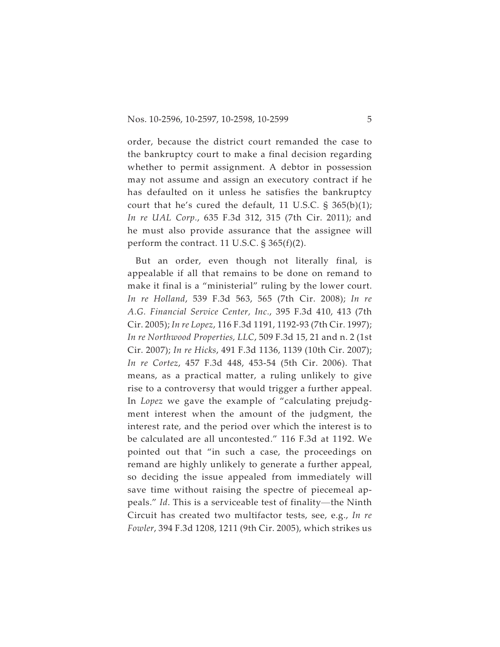order, because the district court remanded the case to the bankruptcy court to make a final decision regarding whether to permit assignment. A debtor in possession may not assume and assign an executory contract if he has defaulted on it unless he satisfies the bankruptcy court that he's cured the default, 11 U.S.C.  $\S$  365(b)(1); *In re UAL Corp.*, 635 F.3d 312, 315 (7th Cir. 2011); and he must also provide assurance that the assignee will perform the contract. 11 U.S.C. § 365(f)(2).

But an order, even though not literally final, is appealable if all that remains to be done on remand to make it final is a "ministerial" ruling by the lower court. *In re Holland*, 539 F.3d 563, 565 (7th Cir. 2008); *In re A.G. Financial Service Center, Inc.*, 395 F.3d 410, 413 (7th Cir. 2005); *In re Lopez*, 116 F.3d 1191, 1192-93 (7th Cir. 1997); *In re Northwood Properties, LLC*, 509 F.3d 15, 21 and n. 2 (1st Cir. 2007); *In re Hicks*, 491 F.3d 1136, 1139 (10th Cir. 2007); *In re Cortez*, 457 F.3d 448, 453-54 (5th Cir. 2006). That means, as a practical matter, a ruling unlikely to give rise to a controversy that would trigger a further appeal. In *Lopez* we gave the example of "calculating prejudgment interest when the amount of the judgment, the interest rate, and the period over which the interest is to be calculated are all uncontested." 116 F.3d at 1192. We pointed out that "in such a case, the proceedings on remand are highly unlikely to generate a further appeal, so deciding the issue appealed from immediately will save time without raising the spectre of piecemeal appeals. remand are highly unlikely to generate a further appeal, so deciding the issue appealed from immediately will save time without raising the spectre of piecemeal ap-Circuit has created two multifactor tests, see, e.g., *In re Fowler*, 394 F.3d 1208, 1211 (9th Cir. 2005), which strikes us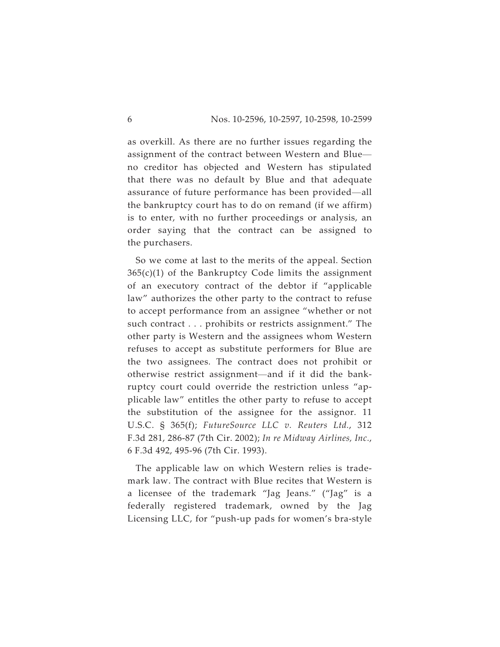as overkill. As there are no further issues regarding the 8<br>Bas overkill. As there are no further issues regarding the<br>assignment of the contract between Western and Blue no creditor has objected and Western has stipulated that there was no default by Blue and that adequate as overkill. As there are no further issues regarding the<br>assignment of the contract between Western and Blue—<br>no creditor has objected and Western has stipulated<br>that there was no default by Blue and that adequate<br>assuran the bankruptcy court has to do on remand (if we affirm) is to enter, with no further proceedings or analysis, an order saying that the contract can be assigned to the purchasers.

So we come at last to the merits of the appeal. Section  $365(c)(1)$  of the Bankruptcy Code limits the assignment of an executory contract of the debtor if "applicable law" authorizes the other party to the contract to refuse to accept performance from an assignee "whether or not such contract . . . prohibits or restricts assignment." The other party is Western and the assignees whom Western refuses to accept as substitute performers for Blue are the two assignees. The contract does not prohibit or other party is Western and the assignees whom Western refuses to accept as substitute performers for Blue are the two assignees. The contract does not prohibit or ruptcy court could override the restriction unless "applicable law" entitles the other party to refuse to accept the substitution of the assignee for the assignor. 11 U.S.C. § 365(f); *FutureSource LLC v. Reuters Ltd.*, 312 F.3d 281, 286-87 (7th Cir. 2002); *In re Midway Airlines, Inc.*, 6 F.3d 492, 495-96 (7th Cir. 1993).

The applicable law on which Western relies is trademark law. The contract with Blue recites that Western is a licensee of the trademark "Jag Jeans." ("Jag" is a federally registered trademark, owned by the Jag Licensing LLC, for "push-up pads for women's bra-style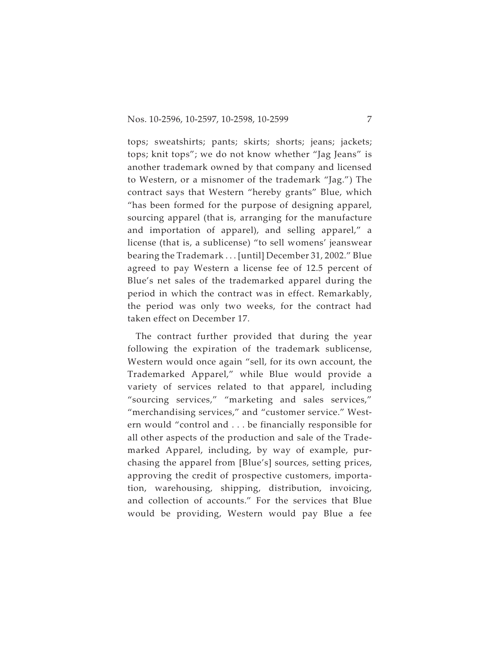tops; sweatshirts; pants; skirts; shorts; jeans; jackets; tops; knit tops"; we do not know whether "Jag Jeans" is another trademark owned by that company and licensed to Western, or a misnomer of the trademark "Jag.") The contract says that Western "hereby grants" Blue, which "has been formed for the purpose of designing apparel, sourcing apparel (that is, arranging for the manufacture and importation of apparel), and selling apparel," a license (that is, a sublicense) "to sell womens' jeanswear bearing the Trademark . . . [until] December 31, 2002." Blue agreed to pay Western a license fee of 12.5 percent of Blue's net sales of the trademarked apparel during the period in which the contract was in effect. Remarkably, the period was only two weeks, for the contract had taken effect on December 17.

The contract further provided that during the year following the expiration of the trademark sublicense, Western would once again "sell, for its own account, the Trademarked Apparel," while Blue would provide a variety of services related to that apparel, including "sourcing services," "marketing and sales services," "merchandising services," and "customer service." Western would "control and . . . be financially responsible for all other aspects of the production and sale of the Trademarked Apparel, including, by way of example, purchasing the apparel from [Blue's] sources, setting prices, approving the credit of prospective customers, importation, warehousing, shipping, distribution, invoicing, and collection of accounts." For the services that Blue would be providing, Western would pay Blue a fee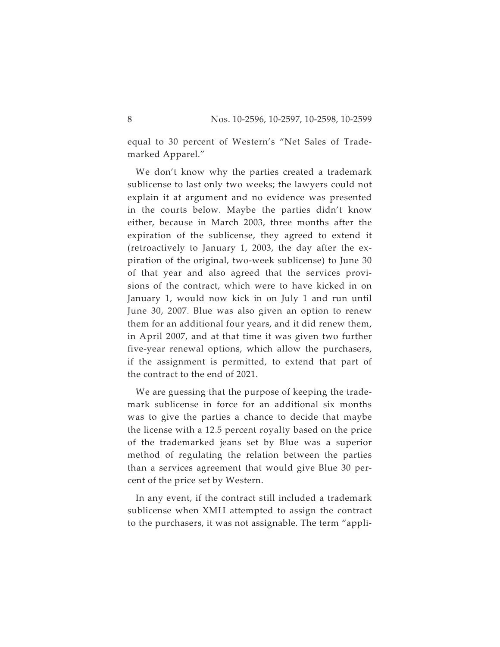equal to 30 percent of Western's "Net Sales of Trademarked Apparel."

We don't know why the parties created a trademark sublicense to last only two weeks; the lawyers could not explain it at argument and no evidence was presented in the courts below. Maybe the parties didn't know either, because in March 2003, three months after the expiration of the sublicense, they agreed to extend it (retroactively to January 1, 2003, the day after the expiration of the original, two-week sublicense) to June 30 of that year and also agreed that the services provisions of the contract, which were to have kicked in on January 1, would now kick in on July 1 and run until June 30, 2007. Blue was also given an option to renew them for an additional four years, and it did renew them, in April 2007, and at that time it was given two further five-year renewal options, which allow the purchasers, if the assignment is permitted, to extend that part of the contract to the end of 2021.

We are guessing that the purpose of keeping the trademark sublicense in force for an additional six months was to give the parties a chance to decide that maybe the license with a 12.5 percent royalty based on the price of the trademarked jeans set by Blue was a superior method of regulating the relation between the parties than a services agreement that would give Blue 30 percent of the price set by Western.

In any event, if the contract still included a trademark sublicense when XMH attempted to assign the contract to the purchasers, it was not assignable. The term "appli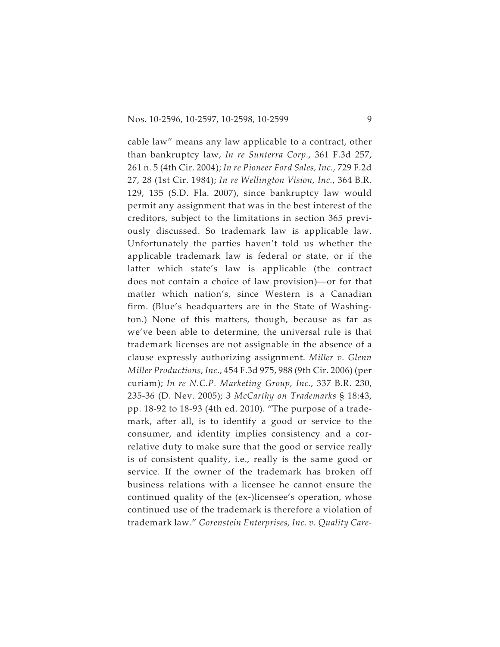cable law" means any law applicable to a contract, other than bankruptcy law, *In re Sunterra Corp.*, 361 F.3d 257, 261 n. 5 (4th Cir. 2004); *In re Pioneer Ford Sales, Inc.,* 729 F.2d 27, 28 (1st Cir. 1984); *In re Wellington Vision, Inc.*, 364 B.R. 129, 135 (S.D. Fla. 2007), since bankruptcy law would permit any assignment that was in the best interest of the creditors, subject to the limitations in section 365 previously discussed. So trademark law is applicable law.<br>Unfortunately the parties haven't told us whether the<br>applicable trademark law is federal or state, or if the<br>latter which state's law is applicable (the contract<br>does n Unfortunately the parties haven't told us whether the applicable trademark law is federal or state, or if the latter which state's law is applicable (the contract matter which nation's, since Western is a Canadian firm. (Blue's headquarters are in the State of Washington.) None of this matters, though, because as far as we've been able to determine, the universal rule is that trademark licenses are not assignable in the absence of a clause expressly authorizing assignment. *Miller v. Glenn Miller Productions, Inc.*, 454 F.3d 975, 988 (9th Cir. 2006) (per curiam); *In re N.C.P. Marketing Group, Inc.*, 337 B.R. 230, 235-36 (D. Nev. 2005); 3 *McCarthy on Trademarks* § 18:43, pp. 18-92 to 18-93 (4th ed. 2010). "The purpose of a trademark, after all, is to identify a good or service to the consumer, and identity implies consistency and a correlative duty to make sure that the good or service really is of consistent quality, i.e., really is the same good or service. If the owner of the trademark has broken off business relations with a licensee he cannot ensure the continued quality of the (ex-)licensee's operation, whose continued use of the trademark is therefore a violation of trademark law." *Gorenstein Enterprises, Inc. v. Quality Care-*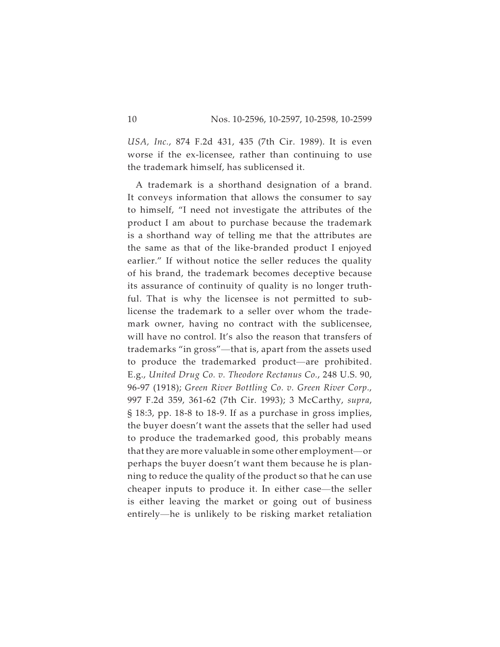*USA, Inc.*, 874 F.2d 431, 435 (7th Cir. 1989). It is even worse if the ex-licensee, rather than continuing to use the trademark himself, has sublicensed it.

A trademark is a shorthand designation of a brand. It conveys information that allows the consumer to say to himself, "I need not investigate the attributes of the product I am about to purchase because the trademark is a shorthand way of telling me that the attributes are the same as that of the like-branded product I enjoyed earlier." If without notice the seller reduces the quality of his brand, the trademark becomes deceptive because its assurance of continuity of quality is no longer truthful. That is why the licensee is not permitted to sub-<br>license the trademark to a seller over whom the trade-<br>mark owner, having no contract with the sublicensee,<br>will have no control. It's also the reason that transfers o license the trademark to a seller over whom the trademark owner, having no contract with the sublicensee, will have no control. It's also the reason that transfers of license the trademark to a seller over whom the trade-<br>mark owner, having no contract with the sublicensee,<br>will have no control. It's also the reason that transfers of<br>trademarks "in gross"—that is, apart from the assets E.g., *United Drug Co. v. Theodore Rectanus Co.*, 248 U.S. 90, 96-97 (1918); *Green River Bottling Co. v. Green River Corp.*, 997 F.2d 359, 361-62 (7th Cir. 1993); 3 McCarthy, *supra*, § 18:3, pp. 18-8 to 18-9. If as a purchase in gross implies, the buyer doesn't want the assets that the seller had used to produce the trademarked good, this probably means<br>that they are more valuable in some other employment—or<br>perhaps the buyer doesn't want them because he is plan-<br>ning to reduce the quality of the product so that he can 997 F.2d 359, 361-62 (7th Cir. 1993); 3 McCarthy, *supra*, § 18:3, pp. 18-8 to 18-9. If as a purchase in gross implies, the buyer doesn't want the assets that the seller had used to produce the trademarked good, this prob perhaps the buyer doesn't want them because he is planning to reduce the quality of the product so that he can use is either leaving the market or going out of business perhaps the buyer doesn't want them because he is planning to reduce the quality of the product so that he can use cheaper inputs to produce it. In either case—the seller is either leaving the market or going out of busine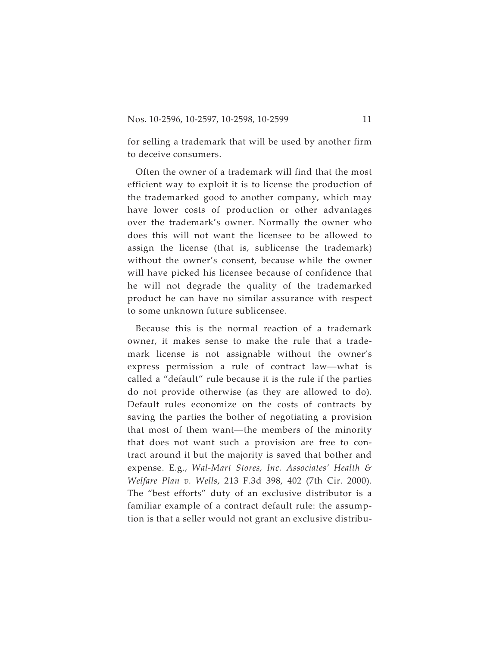for selling a trademark that will be used by another firm to deceive consumers.

Often the owner of a trademark will find that the most efficient way to exploit it is to license the production of the trademarked good to another company, which may have lower costs of production or other advantages over the trademark's owner. Normally the owner who does this will not want the licensee to be allowed to assign the license (that is, sublicense the trademark) without the owner's consent, because while the owner will have picked his licensee because of confidence that he will not degrade the quality of the trademarked product he can have no similar assurance with respect to some unknown future sublicensee.

Because this is the normal reaction of a trademark owner, it makes sense to make the rule that a trademark license is not assignable without the owner's to some unknown future sublicensee.<br>Because this is the normal reaction of a trademark<br>owner, it makes sense to make the rule that a trade-<br>mark license is not assignable without the owner's<br>express permission a rule of co called a "default" rule because it is the rule if the parties do not provide otherwise (as they are allowed to do). Default rules economize on the costs of contracts by saving the parties the bother of negotiating a provision ralled a "default" rule because it is the rule if the parties<br>do not provide otherwise (as they are allowed to do).<br>Default rules economize on the costs of contracts by<br>saving the parties the bother of negotiating a provis that does not want such a provision are free to contract around it but the majority is saved that bother and expense. E.g., *Wal-Mart Stores, Inc. Associates' Health & Welfare Plan v. Wells*, 213 F.3d 398, 402 (7th Cir. 2000). The "best efforts" duty of an exclusive distributor is a familiar example of a contract default rule: the assumption is that a seller would not grant an exclusive distribu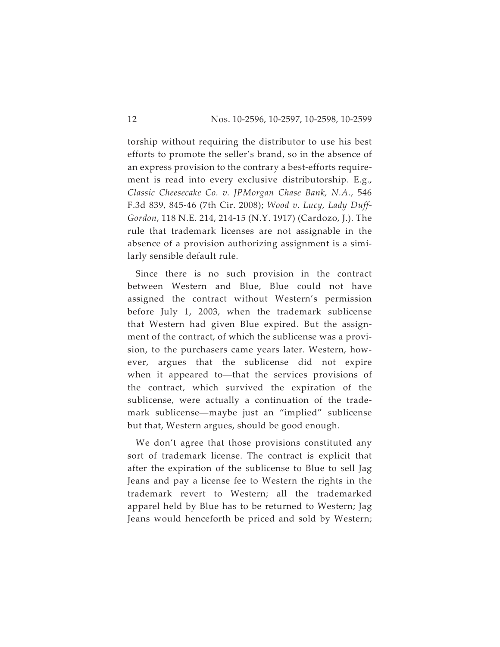torship without requiring the distributor to use his best efforts to promote the seller's brand, so in the absence of an express provision to the contrary a best-efforts requirement is read into every exclusive distributorship. E.g., *Classic Cheesecake Co. v. JPMorgan Chase Bank, N.A.*, 546 F.3d 839, 845-46 (7th Cir. 2008); *Wood v. Lucy, Lady Duff-Gordon*, 118 N.E. 214, 214-15 (N.Y. 1917) (Cardozo, J.). The rule that trademark licenses are not assignable in the absence of a provision authorizing assignment is a similarly sensible default rule.

Since there is no such provision in the contract between Western and Blue, Blue could not have assigned the contract without Western's permission before July 1, 2003, when the trademark sublicense that Western had given Blue expired. But the assignment of the contract, of which the sublicense was a provision, to the purchasers came years later. Western, however, argues that the sublicense did not expire that Western had given Blue expired. But the assignment of the contract, of which the sublicense was a provision, to the purchasers came years later. Western, however, argues that the sublicense did not expire when it appe the contract, which survived the expiration of the sublicense, were actually a continuation of the tradeever, argues that the sublicense did not expire<br>when it appeared to—that the services provisions of<br>the contract, which survived the expiration of the<br>sublicense, were actually a continuation of the trade-<br>mark sublicense but that, Western argues, should be good enough.

We don't agree that those provisions constituted any sort of trademark license. The contract is explicit that after the expiration of the sublicense to Blue to sell Jag Jeans and pay a license fee to Western the rights in the trademark revert to Western; all the trademarked apparel held by Blue has to be returned to Western; Jag Jeans would henceforth be priced and sold by Western;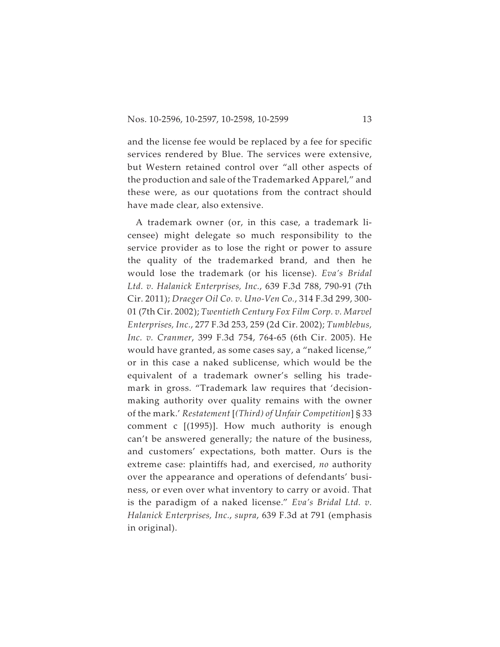and the license fee would be replaced by a fee for specific services rendered by Blue. The services were extensive, but Western retained control over "all other aspects of the production and sale of the Trademarked Apparel," and these were, as our quotations from the contract should have made clear, also extensive.

A trademark owner (or, in this case, a trademark licensee) might delegate so much responsibility to the service provider as to lose the right or power to assure the quality of the trademarked brand, and then he would lose the trademark (or his license). *Eva's Bridal Ltd. v. Halanick Enterprises, Inc.*, 639 F.3d 788, 790-91 (7th Cir. 2011); *Draeger Oil Co. v. Uno-Ven Co.*, 314 F.3d 299, 300- 01 (7th Cir. 2002); *Twentieth Century Fox Film Corp. v. Marvel Enterprises, Inc.*, 277 F.3d 253, 259 (2d Cir. 2002); *Tumblebus, Inc. v. Cranmer*, 399 F.3d 754, 764-65 (6th Cir. 2005). He would have granted, as some cases say, a "naked license," or in this case a naked sublicense, which would be the equivalent of a trademark owner's selling his trademark in gross. "Trademark law requires that 'decisionmaking authority over quality remains with the owner of the mark.' *Restatement* [*(Third) of Unfair Competition*] § 33 comment c [(1995)]. How much authority is enough can't be answered generally; the nature of the business, and customers' expectations, both matter. Ours is the extreme case: plaintiffs had, and exercised, *no* authority over the appearance and operations of defendants' business, or even over what inventory to carry or avoid. That is the paradigm of a naked license." *Eva's Bridal Ltd. v. Halanick Enterprises, Inc.*, *supra*, 639 F.3d at 791 (emphasis in original).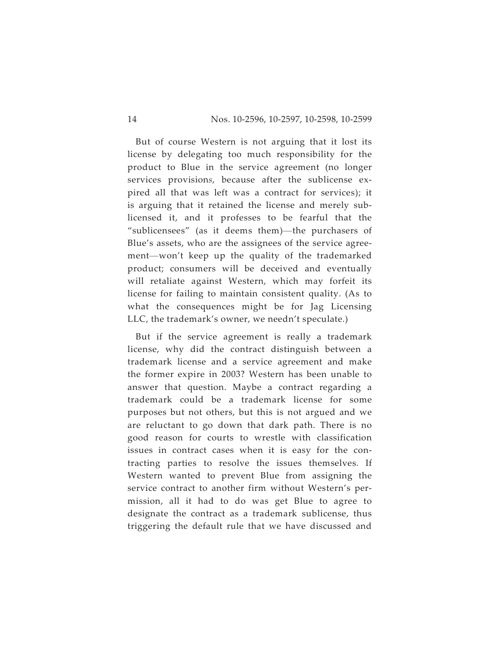But of course Western is not arguing that it lost its license by delegating too much responsibility for the product to Blue in the service agreement (no longer services provision*s*, because after the sublicense expired all that was left was a contract for services); it is arguing that it retained the license and merely sub-<br>licensed it, and it professes to be fearful that the "s pired all that was left was a contract for services); it is arguing that it retained the license and merely sublicensed it, and it professes to be fearful that the Blue's assets, who are the assignees of the service agree-"sublicensees" (as it deems them)—the purchasers of Blue's assets, who are the assignees of the service agreement—won't keep up the quality of the trademarked product; consumers will be deceived and eventually will retaliate against Western, which may forfeit its license for failing to maintain consistent quality. (As to what the consequences might be for Jag Licensing LLC, the trademark's owner, we needn't speculate.)

But if the service agreement is really a trademark license, why did the contract distinguish between a trademark license and a service agreement and make the former expire in 2003? Western has been unable to answer that question. Maybe a contract regarding a trademark could be a trademark license for some purposes but not others, but this is not argued and we are reluctant to go down that dark path. There is no good reason for courts to wrestle with classification issues in contract cases when it is easy for the contracting parties to resolve the issues themselves. If Western wanted to prevent Blue from assigning the service contract to another firm without Western's permission, all it had to do was get Blue to agree to designate the contract as a trademark sublicense, thus triggering the default rule that we have discussed and